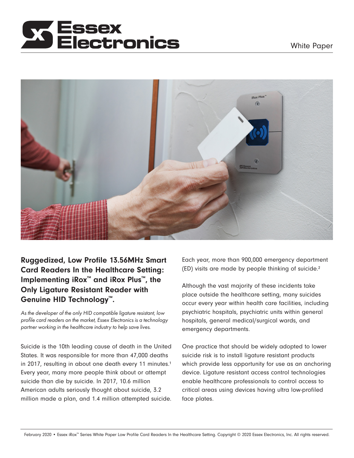# lectronics



Ruggedized, Low Profile 13.56MHz Smart Card Readers In the Healthcare Setting: Implementing iRox™ and iRox Plus™, the Only Ligature Resistant Reader with Genuine HID Technology™.

*As the developer of the only HID compatible ligature resistant, low profile card readers on the market, Essex Electronics is a technology partner working in the healthcare industry to help save lives.* 

Suicide is the 10th leading cause of death in the United States. It was responsible for more than 47,000 deaths in 2017, resulting in about one death every 11 minutes.<sup>1</sup> Every year, many more people think about or attempt suicide than die by suicide. In 2017, 10.6 million American adults seriously thought about suicide, 3.2 million made a plan, and 1.4 million attempted suicide. Each year, more than 900,000 emergency department (ED) visits are made by people thinking of suicide.²

Although the vast majority of these incidents take place outside the healthcare setting, many suicides occur every year within health care facilities, including psychiatric hospitals, psychiatric units within general hospitals, general medical/surgical wards, and emergency departments.

One practice that should be widely adopted to lower suicide risk is to install ligature resistant products which provide less opportunity for use as an anchoring device. Ligature resistant access control technologies enable healthcare professionals to control access to critical areas using devices having ultra low-profiled face plates.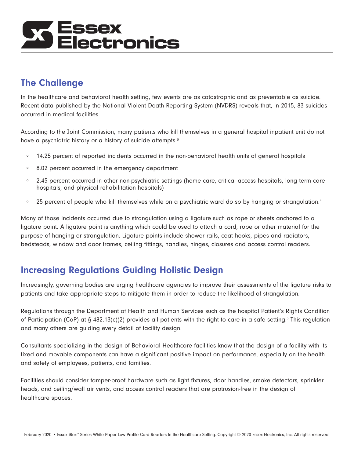# Essex<br>Electronics

### The Challenge

In the healthcare and behavioral health setting, few events are as catastrophic and as preventable as suicide. Recent data published by the National Violent Death Reporting System (NVDRS) reveals that, in 2015, 83 suicides occurred in medical facilities.

According to the Joint Commission, many patients who kill themselves in a general hospital inpatient unit do not have a psychiatric history or a history of suicide attempts.<sup>3</sup>

- ∘ 14.25 percent of reported incidents occurred in the non-behavioral health units of general hospitals
- ∘ 8.02 percent occurred in the emergency department
- ∘ 2.45 percent occurred in other non-psychiatric settings (home care, critical access hospitals, long term care hospitals, and physical rehabilitation hospitals)
- ∘ 25 percent of people who kill themselves while on a psychiatric ward do so by hanging or strangulation.4

Many of those incidents occurred due to strangulation using a ligature such as rope or sheets anchored to a ligature point. A ligature point is anything which could be used to attach a cord, rope or other material for the purpose of hanging or strangulation. Ligature points include shower rails, coat hooks, pipes and radiators, bedsteads, window and door frames, ceiling fittings, handles, hinges, closures and access control readers.

#### Increasing Regulations Guiding Holistic Design

Increasingly, governing bodies are urging healthcare agencies to improve their assessments of the ligature risks to patients and take appropriate steps to mitigate them in order to reduce the likelihood of strangulation.

Regulations through the Department of Health and Human Services such as the hospital Patient's Rights Condition of Participation (CoP) at § 482.13(c)(2) provides all patients with the right to care in a safe setting.<sup>5</sup> This regulation and many others are guiding every detail of facility design.

Consultants specializing in the design of Behavioral Healthcare facilities know that the design of a facility with its fixed and movable components can have a significant positive impact on performance, especially on the health and safety of employees, patients, and families.

Facilities should consider tamper-proof hardware such as light fixtures, door handles, smoke detectors, sprinkler heads, and ceiling/wall air vents, and access control readers that are protrusion-free in the design of healthcare spaces.